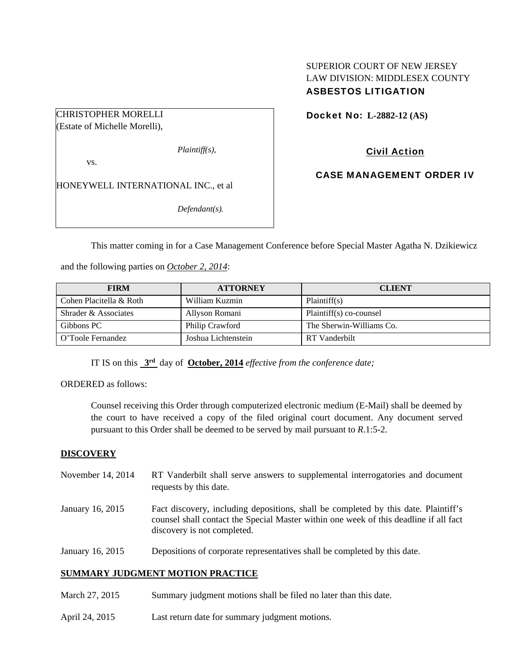## SUPERIOR COURT OF NEW JERSEY LAW DIVISION: MIDDLESEX COUNTY ASBESTOS LITIGATION

CHRISTOPHER MORELLI (Estate of Michelle Morelli),

*Plaintiff(s),* 

vs.

HONEYWELL INTERNATIONAL INC., et al

*Defendant(s).* 

Docket No: **L-2882-12 (AS)** 

# Civil Action

CASE MANAGEMENT ORDER IV

This matter coming in for a Case Management Conference before Special Master Agatha N. Dzikiewicz

and the following parties on *October 2, 2014*:

| <b>FIRM</b>             | <b>ATTORNEY</b>     | <b>CLIENT</b>            |
|-------------------------|---------------------|--------------------------|
| Cohen Placitella & Roth | William Kuzmin      | Plaintiff(s)             |
| Shrader & Associates    | Allyson Romani      | Plaintiff(s) co-counsel  |
| Gibbons PC              | Philip Crawford     | The Sherwin-Williams Co. |
| O'Toole Fernandez       | Joshua Lichtenstein | RT Vanderbilt            |

IT IS on this **3rd** day of **October, 2014** *effective from the conference date;*

ORDERED as follows:

Counsel receiving this Order through computerized electronic medium (E-Mail) shall be deemed by the court to have received a copy of the filed original court document. Any document served pursuant to this Order shall be deemed to be served by mail pursuant to *R*.1:5-2.

## **DISCOVERY**

- November 14, 2014 RT Vanderbilt shall serve answers to supplemental interrogatories and document requests by this date.
- January 16, 2015 Fact discovery, including depositions, shall be completed by this date. Plaintiff's counsel shall contact the Special Master within one week of this deadline if all fact discovery is not completed.
- January 16, 2015 Depositions of corporate representatives shall be completed by this date.

## **SUMMARY JUDGMENT MOTION PRACTICE**

- March 27, 2015 Summary judgment motions shall be filed no later than this date.
- April 24, 2015 Last return date for summary judgment motions.